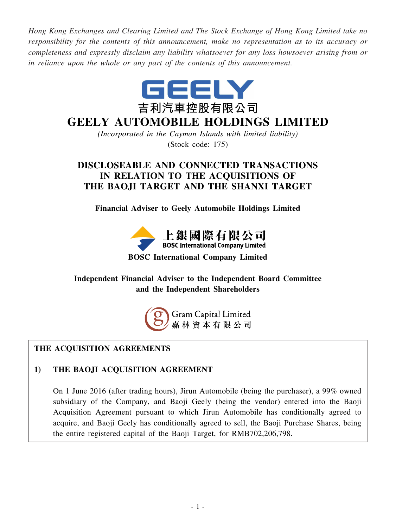*Hong Kong Exchanges and Clearing Limited and The Stock Exchange of Hong Kong Limited take no responsibility for the contents of this announcement, make no representation as to its accuracy or completeness and expressly disclaim any liability whatsoever for any loss howsoever arising from or in reliance upon the whole or any part of the contents of this announcement.*



# **GEELY AUTOMOBILE HOLDINGS LIMITED**

*(Incorporated in the Cayman Islands with limited liability)* (Stock code: 175)

# **DISCLOSEABLE AND CONNECTED TRANSACTIONS IN RELATION TO THE ACQUISITIONS OF THE BAOJI TARGET AND THE SHANXI TARGET**

**Financial Adviser to Geely Automobile Holdings Limited**



# **BOSC International Company Limited**

# **Independent Financial Adviser to the Independent Board Committee and the Independent Shareholders**



# **THE ACQUISITION AGREEMENTS**

# **1) THE BAOJI ACQUISITION AGREEMENT**

On 1 June 2016 (after trading hours), Jirun Automobile (being the purchaser), a 99% owned subsidiary of the Company, and Baoji Geely (being the vendor) entered into the Baoji Acquisition Agreement pursuant to which Jirun Automobile has conditionally agreed to acquire, and Baoji Geely has conditionally agreed to sell, the Baoji Purchase Shares, being the entire registered capital of the Baoji Target, for RMB702,206,798.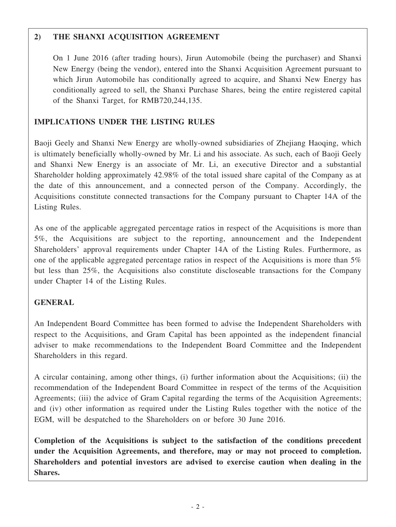# **2) THE SHANXI ACQUISITION AGREEMENT**

On 1 June 2016 (after trading hours), Jirun Automobile (being the purchaser) and Shanxi New Energy (being the vendor), entered into the Shanxi Acquisition Agreement pursuant to which Jirun Automobile has conditionally agreed to acquire, and Shanxi New Energy has conditionally agreed to sell, the Shanxi Purchase Shares, being the entire registered capital of the Shanxi Target, for RMB720,244,135.

# **IMPLICATIONS UNDER THE LISTING RULES**

Baoji Geely and Shanxi New Energy are wholly-owned subsidiaries of Zhejiang Haoqing, which is ultimately beneficially wholly-owned by Mr. Li and his associate. As such, each of Baoji Geely and Shanxi New Energy is an associate of Mr. Li, an executive Director and a substantial Shareholder holding approximately 42.98% of the total issued share capital of the Company as at the date of this announcement, and a connected person of the Company. Accordingly, the Acquisitions constitute connected transactions for the Company pursuant to Chapter 14A of the Listing Rules.

As one of the applicable aggregated percentage ratios in respect of the Acquisitions is more than 5%, the Acquisitions are subject to the reporting, announcement and the Independent Shareholders' approval requirements under Chapter 14A of the Listing Rules. Furthermore, as one of the applicable aggregated percentage ratios in respect of the Acquisitions is more than 5% but less than 25%, the Acquisitions also constitute discloseable transactions for the Company under Chapter 14 of the Listing Rules.

# **GENERAL**

An Independent Board Committee has been formed to advise the Independent Shareholders with respect to the Acquisitions, and Gram Capital has been appointed as the independent financial adviser to make recommendations to the Independent Board Committee and the Independent Shareholders in this regard.

A circular containing, among other things, (i) further information about the Acquisitions; (ii) the recommendation of the Independent Board Committee in respect of the terms of the Acquisition Agreements; (iii) the advice of Gram Capital regarding the terms of the Acquisition Agreements; and (iv) other information as required under the Listing Rules together with the notice of the EGM, will be despatched to the Shareholders on or before 30 June 2016.

**Completion of the Acquisitions is subject to the satisfaction of the conditions precedent under the Acquisition Agreements, and therefore, may or may not proceed to completion. Shareholders and potential investors are advised to exercise caution when dealing in the Shares.**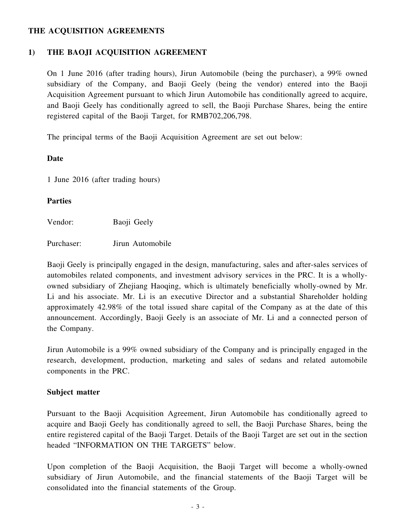# **THE ACQUISITION AGREEMENTS**

# **1) THE BAOJI ACQUISITION AGREEMENT**

On 1 June 2016 (after trading hours), Jirun Automobile (being the purchaser), a 99% owned subsidiary of the Company, and Baoji Geely (being the vendor) entered into the Baoji Acquisition Agreement pursuant to which Jirun Automobile has conditionally agreed to acquire, and Baoji Geely has conditionally agreed to sell, the Baoji Purchase Shares, being the entire registered capital of the Baoji Target, for RMB702,206,798.

The principal terms of the Baoji Acquisition Agreement are set out below:

### **Date**

1 June 2016 (after trading hours)

### **Parties**

Vendor: Baoji Geely

Purchaser: Jirun Automobile

Baoji Geely is principally engaged in the design, manufacturing, sales and after-sales services of automobiles related components, and investment advisory services in the PRC. It is a whollyowned subsidiary of Zhejiang Haoqing, which is ultimately beneficially wholly-owned by Mr. Li and his associate. Mr. Li is an executive Director and a substantial Shareholder holding approximately 42.98% of the total issued share capital of the Company as at the date of this announcement. Accordingly, Baoji Geely is an associate of Mr. Li and a connected person of the Company.

Jirun Automobile is a 99% owned subsidiary of the Company and is principally engaged in the research, development, production, marketing and sales of sedans and related automobile components in the PRC.

#### **Subject matter**

Pursuant to the Baoji Acquisition Agreement, Jirun Automobile has conditionally agreed to acquire and Baoji Geely has conditionally agreed to sell, the Baoji Purchase Shares, being the entire registered capital of the Baoji Target. Details of the Baoji Target are set out in the section headed "INFORMATION ON THE TARGETS" below.

Upon completion of the Baoji Acquisition, the Baoji Target will become a wholly-owned subsidiary of Jirun Automobile, and the financial statements of the Baoji Target will be consolidated into the financial statements of the Group.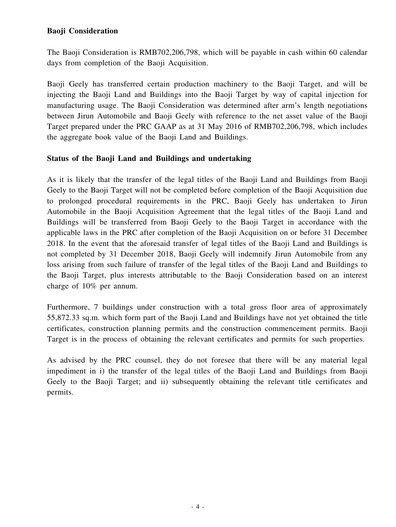# **Baoji Consideration**

The Baoji Consideration is RMB702,206,798, which will be payable in cash within 60 calendar days from completion of the Baoji Acquisition.

Baoji Geely has transferred certain production machinery to the Baoji Target, and will be injecting the Baoji Land and Buildings into the Baoji Target by way of capital injection for manufacturing usage. The Baoji Consideration was determined after arm's length negotiations between Jirun Automobile and Baoji Geely with reference to the net asset value of the Baoji Target prepared under the PRC GAAP as at 31 May 2016 of RMB702,206,798, which includes the aggregate book value of the Baoji Land and Buildings.

# **Status of the Baoji Land and Buildings and undertaking**

As it is likely that the transfer of the legal titles of the Baoji Land and Buildings from Baoji Geely to the Baoji Target will not be completed before completion of the Baoji Acquisition due to prolonged procedural requirements in the PRC, Baoji Geely has undertaken to Jirun Automobile in the Baoji Acquisition Agreement that the legal titles of the Baoji Land and Buildings will be transferred from Baoji Geely to the Baoji Target in accordance with the applicable laws in the PRC after completion of the Baoji Acquisition on or before 31 December 2018. In the event that the aforesaid transfer of legal titles of the Baoji Land and Buildings is not completed by 31 December 2018, Baoji Geely will indemnify Jirun Automobile from any loss arising from such failure of transfer of the legal titles of the Baoji Land and Buildings to the Baoji Target, plus interests attributable to the Baoji Consideration based on an interest charge of 10% per annum.

Furthermore, 7 buildings under construction with a total gross floor area of approximately 55,872.33 sq.m. which form part of the Baoji Land and Buildings have not yet obtained the title certificates, construction planning permits and the construction commencement permits. Baoji Target is in the process of obtaining the relevant certificates and permits for such properties.

As advised by the PRC counsel, they do not foresee that there will be any material legal impediment in i) the transfer of the legal titles of the Baoji Land and Buildings from Baoji Geely to the Baoji Target; and ii) subsequently obtaining the relevant title certificates and permits.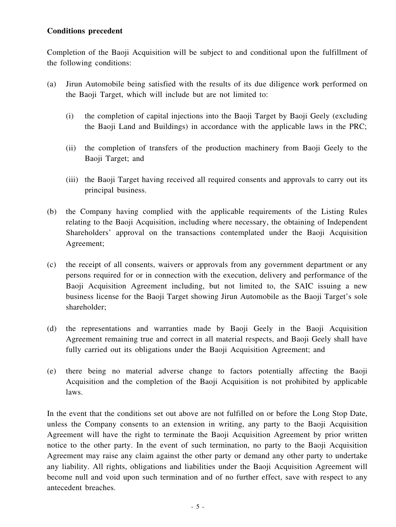# **Conditions precedent**

Completion of the Baoji Acquisition will be subject to and conditional upon the fulfillment of the following conditions:

- (a) Jirun Automobile being satisfied with the results of its due diligence work performed on the Baoji Target, which will include but are not limited to:
	- (i) the completion of capital injections into the Baoji Target by Baoji Geely (excluding the Baoji Land and Buildings) in accordance with the applicable laws in the PRC;
	- (ii) the completion of transfers of the production machinery from Baoji Geely to the Baoji Target; and
	- (iii) the Baoji Target having received all required consents and approvals to carry out its principal business.
- (b) the Company having complied with the applicable requirements of the Listing Rules relating to the Baoji Acquisition, including where necessary, the obtaining of Independent Shareholders' approval on the transactions contemplated under the Baoji Acquisition Agreement;
- (c) the receipt of all consents, waivers or approvals from any government department or any persons required for or in connection with the execution, delivery and performance of the Baoji Acquisition Agreement including, but not limited to, the SAIC issuing a new business license for the Baoji Target showing Jirun Automobile as the Baoji Target's sole shareholder;
- (d) the representations and warranties made by Baoji Geely in the Baoji Acquisition Agreement remaining true and correct in all material respects, and Baoji Geely shall have fully carried out its obligations under the Baoji Acquisition Agreement; and
- (e) there being no material adverse change to factors potentially affecting the Baoji Acquisition and the completion of the Baoji Acquisition is not prohibited by applicable laws.

In the event that the conditions set out above are not fulfilled on or before the Long Stop Date, unless the Company consents to an extension in writing, any party to the Baoji Acquisition Agreement will have the right to terminate the Baoji Acquisition Agreement by prior written notice to the other party. In the event of such termination, no party to the Baoji Acquisition Agreement may raise any claim against the other party or demand any other party to undertake any liability. All rights, obligations and liabilities under the Baoji Acquisition Agreement will become null and void upon such termination and of no further effect, save with respect to any antecedent breaches.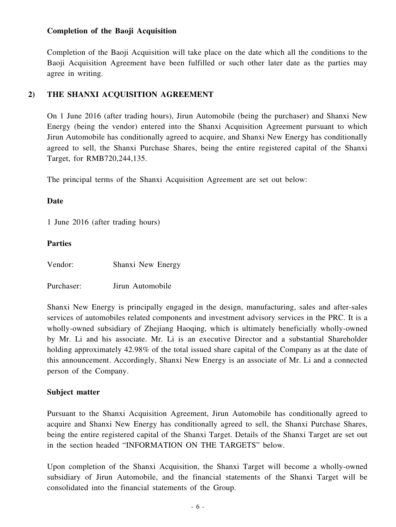# **Completion of the Baoji Acquisition**

Completion of the Baoji Acquisition will take place on the date which all the conditions to the Baoji Acquisition Agreement have been fulfilled or such other later date as the parties may agree in writing.

### **2) THE SHANXI ACQUISITION AGREEMENT**

On 1 June 2016 (after trading hours), Jirun Automobile (being the purchaser) and Shanxi New Energy (being the vendor) entered into the Shanxi Acquisition Agreement pursuant to which Jirun Automobile has conditionally agreed to acquire, and Shanxi New Energy has conditionally agreed to sell, the Shanxi Purchase Shares, being the entire registered capital of the Shanxi Target, for RMB720,244,135.

The principal terms of the Shanxi Acquisition Agreement are set out below:

#### **Date**

1 June 2016 (after trading hours)

#### **Parties**

Vendor: Shanxi New Energy

Purchaser: Jirun Automobile

Shanxi New Energy is principally engaged in the design, manufacturing, sales and after-sales services of automobiles related components and investment advisory services in the PRC. It is a wholly-owned subsidiary of Zhejiang Haoqing, which is ultimately beneficially wholly-owned by Mr. Li and his associate. Mr. Li is an executive Director and a substantial Shareholder holding approximately 42.98% of the total issued share capital of the Company as at the date of this announcement. Accordingly, Shanxi New Energy is an associate of Mr. Li and a connected person of the Company.

#### **Subject matter**

Pursuant to the Shanxi Acquisition Agreement, Jirun Automobile has conditionally agreed to acquire and Shanxi New Energy has conditionally agreed to sell, the Shanxi Purchase Shares, being the entire registered capital of the Shanxi Target. Details of the Shanxi Target are set out in the section headed "INFORMATION ON THE TARGETS" below.

Upon completion of the Shanxi Acquisition, the Shanxi Target will become a wholly-owned subsidiary of Jirun Automobile, and the financial statements of the Shanxi Target will be consolidated into the financial statements of the Group.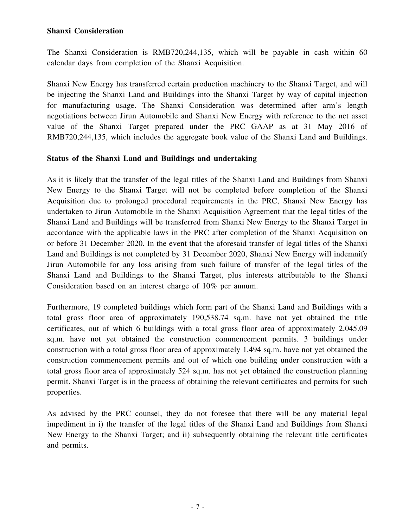### **Shanxi Consideration**

The Shanxi Consideration is RMB720,244,135, which will be payable in cash within 60 calendar days from completion of the Shanxi Acquisition.

Shanxi New Energy has transferred certain production machinery to the Shanxi Target, and will be injecting the Shanxi Land and Buildings into the Shanxi Target by way of capital injection for manufacturing usage. The Shanxi Consideration was determined after arm's length negotiations between Jirun Automobile and Shanxi New Energy with reference to the net asset value of the Shanxi Target prepared under the PRC GAAP as at 31 May 2016 of RMB720,244,135, which includes the aggregate book value of the Shanxi Land and Buildings.

### **Status of the Shanxi Land and Buildings and undertaking**

As it is likely that the transfer of the legal titles of the Shanxi Land and Buildings from Shanxi New Energy to the Shanxi Target will not be completed before completion of the Shanxi Acquisition due to prolonged procedural requirements in the PRC, Shanxi New Energy has undertaken to Jirun Automobile in the Shanxi Acquisition Agreement that the legal titles of the Shanxi Land and Buildings will be transferred from Shanxi New Energy to the Shanxi Target in accordance with the applicable laws in the PRC after completion of the Shanxi Acquisition on or before 31 December 2020. In the event that the aforesaid transfer of legal titles of the Shanxi Land and Buildings is not completed by 31 December 2020, Shanxi New Energy will indemnify Jirun Automobile for any loss arising from such failure of transfer of the legal titles of the Shanxi Land and Buildings to the Shanxi Target, plus interests attributable to the Shanxi Consideration based on an interest charge of 10% per annum.

Furthermore, 19 completed buildings which form part of the Shanxi Land and Buildings with a total gross floor area of approximately 190,538.74 sq.m. have not yet obtained the title certificates, out of which 6 buildings with a total gross floor area of approximately 2,045.09 sq.m. have not yet obtained the construction commencement permits. 3 buildings under construction with a total gross floor area of approximately 1,494 sq.m. have not yet obtained the construction commencement permits and out of which one building under construction with a total gross floor area of approximately 524 sq.m. has not yet obtained the construction planning permit. Shanxi Target is in the process of obtaining the relevant certificates and permits for such properties.

As advised by the PRC counsel, they do not foresee that there will be any material legal impediment in i) the transfer of the legal titles of the Shanxi Land and Buildings from Shanxi New Energy to the Shanxi Target; and ii) subsequently obtaining the relevant title certificates and permits.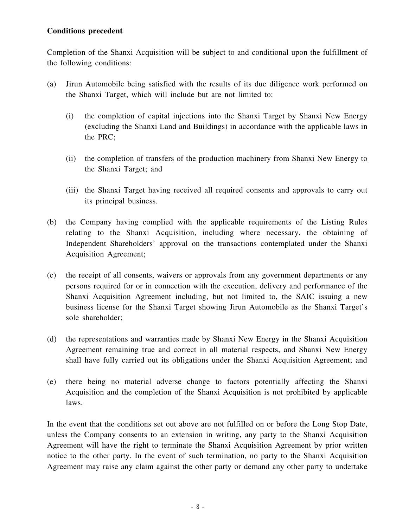# **Conditions precedent**

Completion of the Shanxi Acquisition will be subject to and conditional upon the fulfillment of the following conditions:

- (a) Jirun Automobile being satisfied with the results of its due diligence work performed on the Shanxi Target, which will include but are not limited to:
	- (i) the completion of capital injections into the Shanxi Target by Shanxi New Energy (excluding the Shanxi Land and Buildings) in accordance with the applicable laws in the PRC;
	- (ii) the completion of transfers of the production machinery from Shanxi New Energy to the Shanxi Target; and
	- (iii) the Shanxi Target having received all required consents and approvals to carry out its principal business.
- (b) the Company having complied with the applicable requirements of the Listing Rules relating to the Shanxi Acquisition, including where necessary, the obtaining of Independent Shareholders' approval on the transactions contemplated under the Shanxi Acquisition Agreement;
- (c) the receipt of all consents, waivers or approvals from any government departments or any persons required for or in connection with the execution, delivery and performance of the Shanxi Acquisition Agreement including, but not limited to, the SAIC issuing a new business license for the Shanxi Target showing Jirun Automobile as the Shanxi Target's sole shareholder;
- (d) the representations and warranties made by Shanxi New Energy in the Shanxi Acquisition Agreement remaining true and correct in all material respects, and Shanxi New Energy shall have fully carried out its obligations under the Shanxi Acquisition Agreement; and
- (e) there being no material adverse change to factors potentially affecting the Shanxi Acquisition and the completion of the Shanxi Acquisition is not prohibited by applicable laws.

In the event that the conditions set out above are not fulfilled on or before the Long Stop Date, unless the Company consents to an extension in writing, any party to the Shanxi Acquisition Agreement will have the right to terminate the Shanxi Acquisition Agreement by prior written notice to the other party. In the event of such termination, no party to the Shanxi Acquisition Agreement may raise any claim against the other party or demand any other party to undertake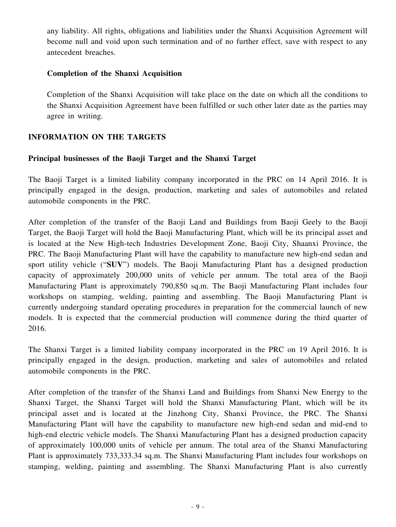any liability. All rights, obligations and liabilities under the Shanxi Acquisition Agreement will become null and void upon such termination and of no further effect, save with respect to any antecedent breaches.

#### **Completion of the Shanxi Acquisition**

Completion of the Shanxi Acquisition will take place on the date on which all the conditions to the Shanxi Acquisition Agreement have been fulfilled or such other later date as the parties may agree in writing.

# **INFORMATION ON THE TARGETS**

### **Principal businesses of the Baoji Target and the Shanxi Target**

The Baoji Target is a limited liability company incorporated in the PRC on 14 April 2016. It is principally engaged in the design, production, marketing and sales of automobiles and related automobile components in the PRC.

After completion of the transfer of the Baoji Land and Buildings from Baoji Geely to the Baoji Target, the Baoji Target will hold the Baoji Manufacturing Plant, which will be its principal asset and is located at the New High-tech Industries Development Zone, Baoji City, Shaanxi Province, the PRC. The Baoji Manufacturing Plant will have the capability to manufacture new high-end sedan and sport utility vehicle ("**SUV**") models. The Baoji Manufacturing Plant has a designed production capacity of approximately 200,000 units of vehicle per annum. The total area of the Baoji Manufacturing Plant is approximately 790,850 sq.m. The Baoji Manufacturing Plant includes four workshops on stamping, welding, painting and assembling. The Baoji Manufacturing Plant is currently undergoing standard operating procedures in preparation for the commercial launch of new models. It is expected that the commercial production will commence during the third quarter of 2016.

The Shanxi Target is a limited liability company incorporated in the PRC on 19 April 2016. It is principally engaged in the design, production, marketing and sales of automobiles and related automobile components in the PRC.

After completion of the transfer of the Shanxi Land and Buildings from Shanxi New Energy to the Shanxi Target, the Shanxi Target will hold the Shanxi Manufacturing Plant, which will be its principal asset and is located at the Jinzhong City, Shanxi Province, the PRC. The Shanxi Manufacturing Plant will have the capability to manufacture new high-end sedan and mid-end to high-end electric vehicle models. The Shanxi Manufacturing Plant has a designed production capacity of approximately 100,000 units of vehicle per annum. The total area of the Shanxi Manufacturing Plant is approximately 733,333.34 sq.m. The Shanxi Manufacturing Plant includes four workshops on stamping, welding, painting and assembling. The Shanxi Manufacturing Plant is also currently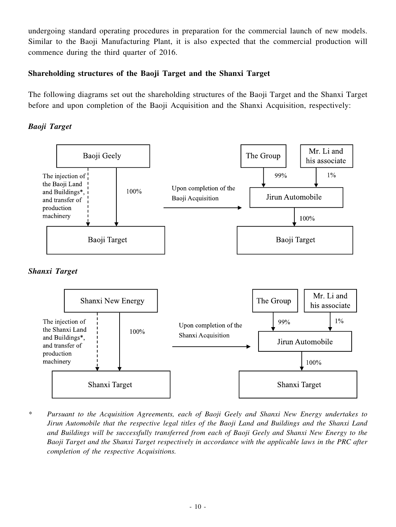undergoing standard operating procedures in preparation for the commercial launch of new models. Similar to the Baoji Manufacturing Plant, it is also expected that the commercial production will commence during the third quarter of 2016.

# **Shareholding structures of the Baoji Target and the Shanxi Target**

The following diagrams set out the shareholding structures of the Baoji Target and the Shanxi Target before and upon completion of the Baoji Acquisition and the Shanxi Acquisition, respectively:

*Baoji Target*







*\* Pursuant to the Acquisition Agreements, each of Baoji Geely and Shanxi New Energy undertakes to Jirun Automobile that the respective legal titles of the Baoji Land and Buildings and the Shanxi Land and Buildings will be successfully transferred from each of Baoji Geely and Shanxi New Energy to the Baoji Target and the Shanxi Target respectively in accordance with the applicable laws in the PRC after completion of the respective Acquisitions.*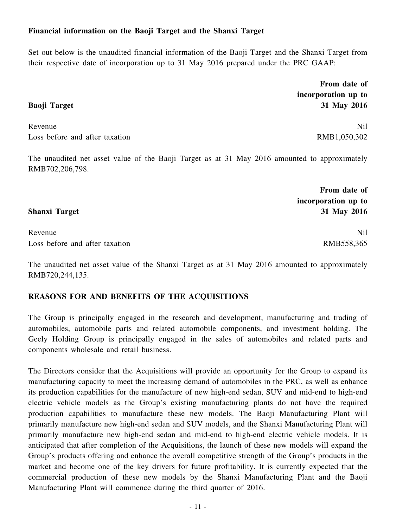# **Financial information on the Baoji Target and the Shanxi Target**

Set out below is the unaudited financial information of the Baoji Target and the Shanxi Target from their respective date of incorporation up to 31 May 2016 prepared under the PRC GAAP:

> **From date of incorporation up to 31 May 2016**

Revenue Nil Loss before and after taxation RMB1,050,302

The unaudited net asset value of the Baoji Target as at 31 May 2016 amounted to approximately RMB702,206,798.

Revenue Nil Loss before and after taxation RMB558,365

The unaudited net asset value of the Shanxi Target as at 31 May 2016 amounted to approximately RMB720,244,135.

# **REASONS FOR AND BENEFITS OF THE ACQUISITIONS**

The Group is principally engaged in the research and development, manufacturing and trading of automobiles, automobile parts and related automobile components, and investment holding. The Geely Holding Group is principally engaged in the sales of automobiles and related parts and components wholesale and retail business.

The Directors consider that the Acquisitions will provide an opportunity for the Group to expand its manufacturing capacity to meet the increasing demand of automobiles in the PRC, as well as enhance its production capabilities for the manufacture of new high-end sedan, SUV and mid-end to high-end electric vehicle models as the Group's existing manufacturing plants do not have the required production capabilities to manufacture these new models. The Baoji Manufacturing Plant will primarily manufacture new high-end sedan and SUV models, and the Shanxi Manufacturing Plant will primarily manufacture new high-end sedan and mid-end to high-end electric vehicle models. It is anticipated that after completion of the Acquisitions, the launch of these new models will expand the Group's products offering and enhance the overall competitive strength of the Group's products in the market and become one of the key drivers for future profitability. It is currently expected that the commercial production of these new models by the Shanxi Manufacturing Plant and the Baoji Manufacturing Plant will commence during the third quarter of 2016.

# **Baoji Target**

**Shanxi Target**

**From date of incorporation up to**

**31 May 2016**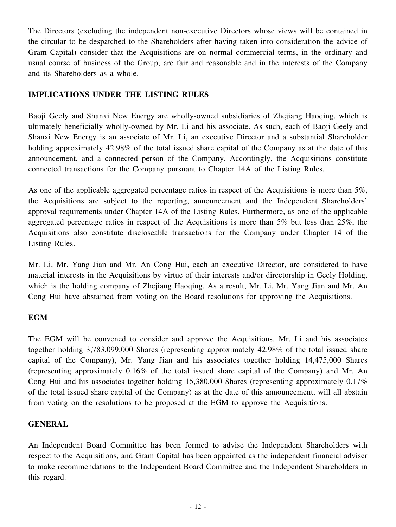The Directors (excluding the independent non-executive Directors whose views will be contained in the circular to be despatched to the Shareholders after having taken into consideration the advice of Gram Capital) consider that the Acquisitions are on normal commercial terms, in the ordinary and usual course of business of the Group, are fair and reasonable and in the interests of the Company and its Shareholders as a whole.

# **IMPLICATIONS UNDER THE LISTING RULES**

Baoji Geely and Shanxi New Energy are wholly-owned subsidiaries of Zhejiang Haoqing, which is ultimately beneficially wholly-owned by Mr. Li and his associate. As such, each of Baoji Geely and Shanxi New Energy is an associate of Mr. Li, an executive Director and a substantial Shareholder holding approximately 42.98% of the total issued share capital of the Company as at the date of this announcement, and a connected person of the Company. Accordingly, the Acquisitions constitute connected transactions for the Company pursuant to Chapter 14A of the Listing Rules.

As one of the applicable aggregated percentage ratios in respect of the Acquisitions is more than 5%, the Acquisitions are subject to the reporting, announcement and the Independent Shareholders' approval requirements under Chapter 14A of the Listing Rules. Furthermore, as one of the applicable aggregated percentage ratios in respect of the Acquisitions is more than 5% but less than 25%, the Acquisitions also constitute discloseable transactions for the Company under Chapter 14 of the Listing Rules.

Mr. Li, Mr. Yang Jian and Mr. An Cong Hui, each an executive Director, are considered to have material interests in the Acquisitions by virtue of their interests and/or directorship in Geely Holding, which is the holding company of Zhejiang Haoqing. As a result, Mr. Li, Mr. Yang Jian and Mr. An Cong Hui have abstained from voting on the Board resolutions for approving the Acquisitions.

# **EGM**

The EGM will be convened to consider and approve the Acquisitions. Mr. Li and his associates together holding 3,783,099,000 Shares (representing approximately 42.98% of the total issued share capital of the Company), Mr. Yang Jian and his associates together holding 14,475,000 Shares (representing approximately 0.16% of the total issued share capital of the Company) and Mr. An Cong Hui and his associates together holding 15,380,000 Shares (representing approximately 0.17% of the total issued share capital of the Company) as at the date of this announcement, will all abstain from voting on the resolutions to be proposed at the EGM to approve the Acquisitions.

# **GENERAL**

An Independent Board Committee has been formed to advise the Independent Shareholders with respect to the Acquisitions, and Gram Capital has been appointed as the independent financial adviser to make recommendations to the Independent Board Committee and the Independent Shareholders in this regard.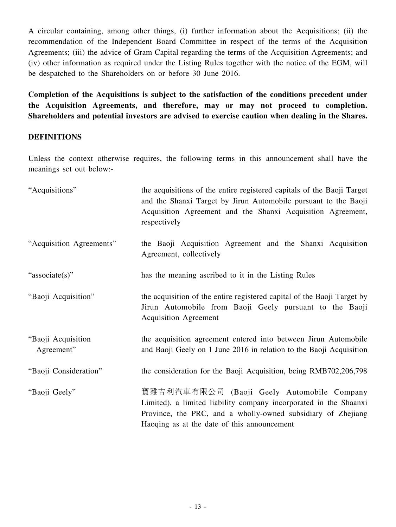A circular containing, among other things, (i) further information about the Acquisitions; (ii) the recommendation of the Independent Board Committee in respect of the terms of the Acquisition Agreements; (iii) the advice of Gram Capital regarding the terms of the Acquisition Agreements; and (iv) other information as required under the Listing Rules together with the notice of the EGM, will be despatched to the Shareholders on or before 30 June 2016.

**Completion of the Acquisitions is subject to the satisfaction of the conditions precedent under the Acquisition Agreements, and therefore, may or may not proceed to completion. Shareholders and potential investors are advised to exercise caution when dealing in the Shares.**

# **DEFINITIONS**

Unless the context otherwise requires, the following terms in this announcement shall have the meanings set out below:-

| "Acquisitions"                   | the acquisitions of the entire registered capitals of the Baoji Target<br>and the Shanxi Target by Jirun Automobile pursuant to the Baoji<br>Acquisition Agreement and the Shanxi Acquisition Agreement,<br>respectively       |
|----------------------------------|--------------------------------------------------------------------------------------------------------------------------------------------------------------------------------------------------------------------------------|
| "Acquisition Agreements"         | the Baoji Acquisition Agreement and the Shanxi Acquisition<br>Agreement, collectively                                                                                                                                          |
| "associate(s)"                   | has the meaning ascribed to it in the Listing Rules                                                                                                                                                                            |
| "Baoji Acquisition"              | the acquisition of the entire registered capital of the Baoji Target by<br>Jirun Automobile from Baoji Geely pursuant to the Baoji<br><b>Acquisition Agreement</b>                                                             |
| "Baoji Acquisition<br>Agreement" | the acquisition agreement entered into between Jirun Automobile<br>and Baoji Geely on 1 June 2016 in relation to the Baoji Acquisition                                                                                         |
| "Baoji Consideration"            | the consideration for the Baoji Acquisition, being RMB702,206,798                                                                                                                                                              |
| "Baoji Geely"                    | 寶雞吉利汽車有限公司 (Baoji Geely Automobile Company<br>Limited), a limited liability company incorporated in the Shaanxi<br>Province, the PRC, and a wholly-owned subsidiary of Zhejiang<br>Haoqing as at the date of this announcement |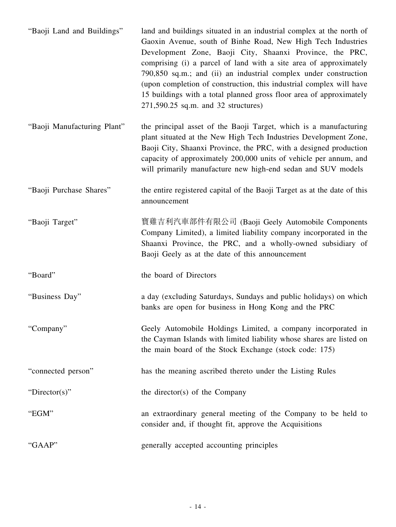| "Baoji Land and Buildings"  | land and buildings situated in an industrial complex at the north of<br>Gaoxin Avenue, south of Binhe Road, New High Tech Industries<br>Development Zone, Baoji City, Shaanxi Province, the PRC,<br>comprising (i) a parcel of land with a site area of approximately<br>790,850 sq.m.; and (ii) an industrial complex under construction<br>(upon completion of construction, this industrial complex will have |
|-----------------------------|------------------------------------------------------------------------------------------------------------------------------------------------------------------------------------------------------------------------------------------------------------------------------------------------------------------------------------------------------------------------------------------------------------------|
|                             | 15 buildings with a total planned gross floor area of approximately<br>271,590.25 sq.m. and 32 structures)                                                                                                                                                                                                                                                                                                       |
| "Baoji Manufacturing Plant" | the principal asset of the Baoji Target, which is a manufacturing<br>plant situated at the New High Tech Industries Development Zone,<br>Baoji City, Shaanxi Province, the PRC, with a designed production<br>capacity of approximately 200,000 units of vehicle per annum, and<br>will primarily manufacture new high-end sedan and SUV models                                                                  |
| "Baoji Purchase Shares"     | the entire registered capital of the Baoji Target as at the date of this<br>announcement                                                                                                                                                                                                                                                                                                                         |
| "Baoji Target"              | 寶雞吉利汽車部件有限公司 (Baoji Geely Automobile Components<br>Company Limited), a limited liability company incorporated in the<br>Shaanxi Province, the PRC, and a wholly-owned subsidiary of<br>Baoji Geely as at the date of this announcement                                                                                                                                                                           |
| "Board"                     | the board of Directors                                                                                                                                                                                                                                                                                                                                                                                           |
| "Business Day"              | a day (excluding Saturdays, Sundays and public holidays) on which<br>banks are open for business in Hong Kong and the PRC                                                                                                                                                                                                                                                                                        |
| "Company"                   | Geely Automobile Holdings Limited, a company incorporated in<br>the Cayman Islands with limited liability whose shares are listed on<br>the main board of the Stock Exchange (stock code: 175)                                                                                                                                                                                                                   |
| "connected person"          | has the meaning ascribed thereto under the Listing Rules                                                                                                                                                                                                                                                                                                                                                         |
| "Director(s)"               | the director(s) of the Company                                                                                                                                                                                                                                                                                                                                                                                   |
| "EGM"                       | an extraordinary general meeting of the Company to be held to<br>consider and, if thought fit, approve the Acquisitions                                                                                                                                                                                                                                                                                          |
| "GAAP"                      | generally accepted accounting principles                                                                                                                                                                                                                                                                                                                                                                         |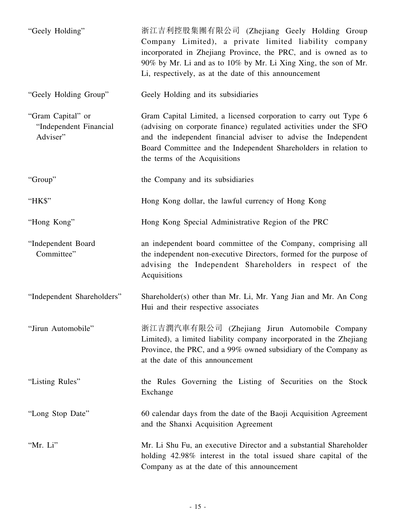| "Geely Holding"                                         | 浙江吉利控股集團有限公司 (Zhejiang Geely Holding Group<br>Company Limited), a private limited liability company<br>incorporated in Zhejiang Province, the PRC, and is owned as to<br>90% by Mr. Li and as to 10% by Mr. Li Xing Xing, the son of Mr.<br>Li, respectively, as at the date of this announcement             |
|---------------------------------------------------------|---------------------------------------------------------------------------------------------------------------------------------------------------------------------------------------------------------------------------------------------------------------------------------------------------------------|
| "Geely Holding Group"                                   | Geely Holding and its subsidiaries                                                                                                                                                                                                                                                                            |
| "Gram Capital" or<br>"Independent Financial<br>Adviser" | Gram Capital Limited, a licensed corporation to carry out Type 6<br>(advising on corporate finance) regulated activities under the SFO<br>and the independent financial adviser to advise the Independent<br>Board Committee and the Independent Shareholders in relation to<br>the terms of the Acquisitions |
| "Group"                                                 | the Company and its subsidiaries                                                                                                                                                                                                                                                                              |
| "HK\$"                                                  | Hong Kong dollar, the lawful currency of Hong Kong                                                                                                                                                                                                                                                            |
| "Hong Kong"                                             | Hong Kong Special Administrative Region of the PRC                                                                                                                                                                                                                                                            |
| "Independent Board<br>Committee"                        | an independent board committee of the Company, comprising all<br>the independent non-executive Directors, formed for the purpose of<br>advising the Independent Shareholders in respect of the<br>Acquisitions                                                                                                |
| "Independent Shareholders"                              | Shareholder(s) other than Mr. Li, Mr. Yang Jian and Mr. An Cong<br>Hui and their respective associates                                                                                                                                                                                                        |
| "Jirun Automobile"                                      | 浙江吉潤汽車有限公司 (Zhejiang Jirun Automobile Company<br>Limited), a limited liability company incorporated in the Zhejiang<br>Province, the PRC, and a 99% owned subsidiary of the Company as<br>at the date of this announcement                                                                                    |
| "Listing Rules"                                         | the Rules Governing the Listing of Securities on the Stock<br>Exchange                                                                                                                                                                                                                                        |
| "Long Stop Date"                                        | 60 calendar days from the date of the Baoji Acquisition Agreement<br>and the Shanxi Acquisition Agreement                                                                                                                                                                                                     |
| "Mr. Li"                                                | Mr. Li Shu Fu, an executive Director and a substantial Shareholder<br>holding 42.98% interest in the total issued share capital of the<br>Company as at the date of this announcement                                                                                                                         |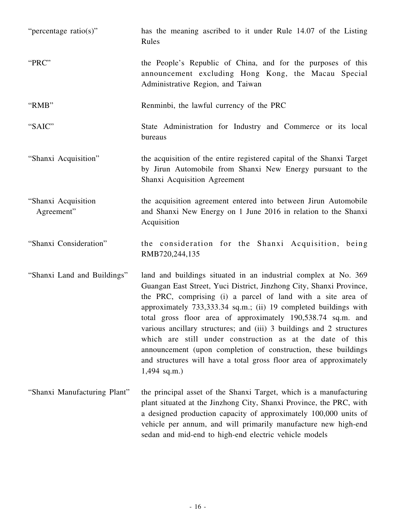| "percentage ratio(s)"             | has the meaning ascribed to it under Rule 14.07 of the Listing<br>Rules                                                                                                                                                                                                                                                                                                                                                                                                                                                                                                                                                                   |
|-----------------------------------|-------------------------------------------------------------------------------------------------------------------------------------------------------------------------------------------------------------------------------------------------------------------------------------------------------------------------------------------------------------------------------------------------------------------------------------------------------------------------------------------------------------------------------------------------------------------------------------------------------------------------------------------|
| "PRC"                             | the People's Republic of China, and for the purposes of this<br>announcement excluding Hong Kong, the Macau Special<br>Administrative Region, and Taiwan                                                                                                                                                                                                                                                                                                                                                                                                                                                                                  |
| "RMB"                             | Renminbi, the lawful currency of the PRC                                                                                                                                                                                                                                                                                                                                                                                                                                                                                                                                                                                                  |
| "SAIC"                            | State Administration for Industry and Commerce or its local<br>bureaus                                                                                                                                                                                                                                                                                                                                                                                                                                                                                                                                                                    |
| "Shanxi Acquisition"              | the acquisition of the entire registered capital of the Shanxi Target<br>by Jirun Automobile from Shanxi New Energy pursuant to the<br>Shanxi Acquisition Agreement                                                                                                                                                                                                                                                                                                                                                                                                                                                                       |
| "Shanxi Acquisition<br>Agreement" | the acquisition agreement entered into between Jirun Automobile<br>and Shanxi New Energy on 1 June 2016 in relation to the Shanxi<br>Acquisition                                                                                                                                                                                                                                                                                                                                                                                                                                                                                          |
| "Shanxi Consideration"            | the consideration for the Shanxi Acquisition, being<br>RMB720,244,135                                                                                                                                                                                                                                                                                                                                                                                                                                                                                                                                                                     |
| "Shanxi Land and Buildings"       | land and buildings situated in an industrial complex at No. 369<br>Guangan East Street, Yuci District, Jinzhong City, Shanxi Province,<br>the PRC, comprising (i) a parcel of land with a site area of<br>approximately 733,333.34 sq.m.; (ii) 19 completed buildings with<br>total gross floor area of approximately 190,538.74 sq.m. and<br>various ancillary structures; and (iii) 3 buildings and 2 structures<br>which are still under construction as at the date of this<br>announcement (upon completion of construction, these buildings<br>and structures will have a total gross floor area of approximately<br>$1,494$ sq.m.) |
| "Shanxi Manufacturing Plant"      | the principal asset of the Shanxi Target, which is a manufacturing<br>plant situated at the Jinzhong City, Shanxi Province, the PRC, with<br>a designed production capacity of approximately 100,000 units of<br>vehicle per annum, and will primarily manufacture new high-end<br>sedan and mid-end to high-end electric vehicle models                                                                                                                                                                                                                                                                                                  |